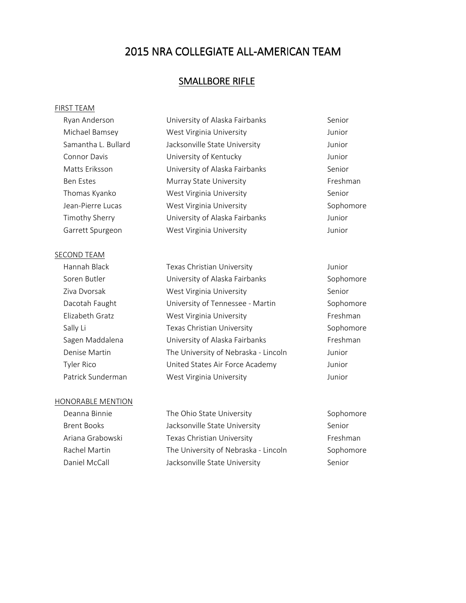## SMALLBORE RIFLE

#### FIRST TEAM

| Ryan Anderson       | University of Alaska Fairbanks | Senior    |
|---------------------|--------------------------------|-----------|
| Michael Bamsey      | West Virginia University       | Junior    |
| Samantha L. Bullard | Jacksonville State University  | Junior    |
| Connor Davis        | University of Kentucky         | Junior    |
| Matts Eriksson      | University of Alaska Fairbanks | Senior    |
| <b>Ben Estes</b>    | Murray State University        | Freshman  |
| Thomas Kyanko       | West Virginia University       | Senior    |
| Jean-Pierre Lucas   | West Virginia University       | Sophomore |
| Timothy Sherry      | University of Alaska Fairbanks | Junior    |
| Garrett Spurgeon    | West Virginia University       | Junior    |
|                     |                                |           |

#### SECOND TEAM

 Hannah Black Texas Christian University Junior Soren Butler **Solution Control** University of Alaska Fairbanks **Sophomore** Sophomore Ziva Dvorsak **West Virginia University** Senior Dacotah Faught **Initial University of Tennessee - Martin** Sophomore Elizabeth Gratz West Virginia University Freshman Sally Li **Sally Li** Texas Christian University **Sophomore** Sophomore Sagen Maddalena **Iniversity of Alaska Fairbanks** Freshman Denise Martin The University of Nebraska - Lincoln Junior Tyler Rico United States Air Force Academy Junior Patrick Sunderman West Virginia University Munior

## HONORABLE MENTION

Deanna Binnie **The Ohio State University** Sophomore Brent Books **Superset Books** Jacksonville State University Senior Ariana Grabowski **Texas Christian University Texas Christian** University **Freshman** Rachel Martin The University of Nebraska - Lincoln Sophomore Daniel McCall **State University** Jacksonville State University Senior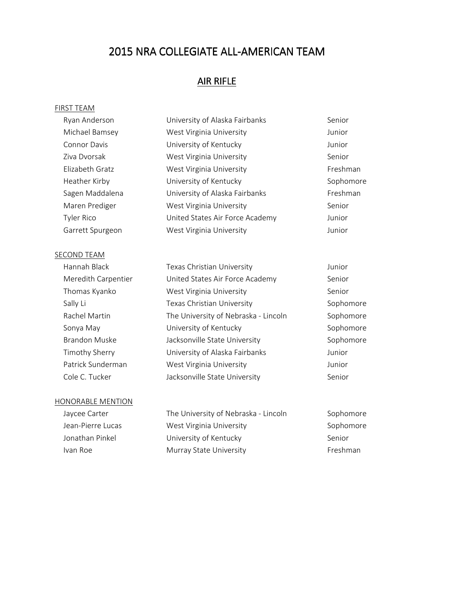## AIR RIFLE

#### FIRST TEAM

| Ryan Anderson       | University of Alaska Fairbanks  | Senior    |
|---------------------|---------------------------------|-----------|
| Michael Bamsey      | West Virginia University        | Junior    |
| <b>Connor Davis</b> | University of Kentucky          | Junior    |
| Ziva Dvorsak        | West Virginia University        | Senior    |
| Elizabeth Gratz     | West Virginia University        | Freshman  |
| Heather Kirby       | University of Kentucky          | Sophomore |
| Sagen Maddalena     | University of Alaska Fairbanks  | Freshman  |
| Maren Prediger      | West Virginia University        | Senior    |
| Tyler Rico          | United States Air Force Academy | Junior    |
| Garrett Spurgeon    | West Virginia University        | Junior    |
|                     |                                 |           |

## SECOND TEAM

| Hannah Black        | Texas Christian University           | Junior |
|---------------------|--------------------------------------|--------|
| Meredith Carpentier | United States Air Force Academy      | Senior |
| Thomas Kyanko       | West Virginia University             | Senior |
| Sally Li            | Texas Christian University           | Sophor |
| Rachel Martin       | The University of Nebraska - Lincoln | Sophor |
| Sonya May           | University of Kentucky               | Sophor |
| Brandon Muske       | Jacksonville State University        | Sophor |
| Timothy Sherry      | University of Alaska Fairbanks       | Junior |
| Patrick Sunderman   | West Virginia University             | Junior |
| Cole C. Tucker      | Jacksonville State University        | Senior |
|                     |                                      |        |

## HONORABLE MENTION

| Jaycee Carter     |  |  |  |  |
|-------------------|--|--|--|--|
| Jean-Pierre Lucas |  |  |  |  |
| Jonathan Pinkel   |  |  |  |  |
| Ivan Roe          |  |  |  |  |

The University of Nebraska - Lincoln Sophomore West Virginia University **Sophomore** Sophomore University of Kentucky Senior Murray State University **Fig. 1988** Freshman

ophomore ophomore ophomore ophomore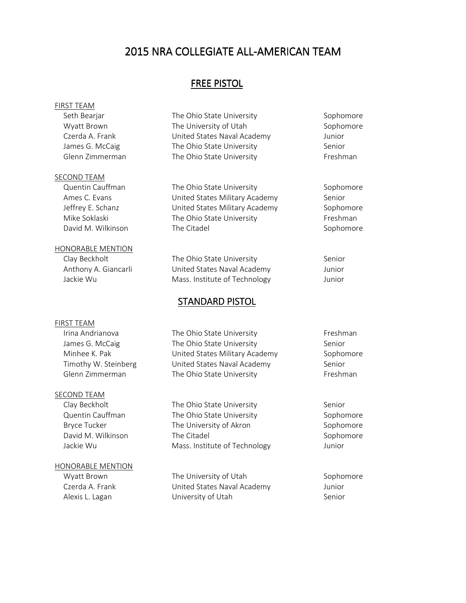## FREE PISTOL

## FIRST TEAM

#### SECOND TEAM

## HONORABLE MENTION

#### FIRST TEAM

#### SECOND TEAM

#### HONORABLE MENTION

Seth Bearjar **The Ohio State University** Sophomore Sophomore Wyatt Brown The University of Utah Sophomore Czerda A. Frank United States Naval Academy Junior James G. McCaig The Ohio State University Senior Glenn Zimmerman The Ohio State University Freshman

Quentin Cauffman The Ohio State University Sophomore Ames C. Evans **Example 3** United States Military Academy Senior Jeffrey E. Schanz United States Military Academy Sophomore Mike Soklaski **The Ohio State University** Freshman David M. Wilkinson The Citadel Sophomore Sophomore

Clay Beckholt **The Ohio State University** Senior Anthony A. Giancarli United States Naval Academy Junior Jackie Wu **Mass.** Institute of Technology Junior

## STANDARD PISTOL

Irina Andrianova **The Ohio State University** Freshman James G. McCaig The Ohio State University Senior Minhee K. Pak Communication United States Military Academy Sophomore Timothy W. Steinberg **United States Naval Academy** Senior Glenn Zimmerman The Ohio State University Freshman

Clay Beckholt **The Ohio State University** Senior Quentin Cauffman The Ohio State University Sophomore Bryce Tucker The University of Akron The University of Akron Sophomore David M. Wilkinson The Citadel **Sophomore** The Citadel Sophomore Jackie Wu Mass. Institute of Technology Junior

Wyatt Brown The University of Utah Sophomore Czerda A. Frank United States Naval Academy Junior Alexis L. Lagan **Senior** University of Utah Senior Senior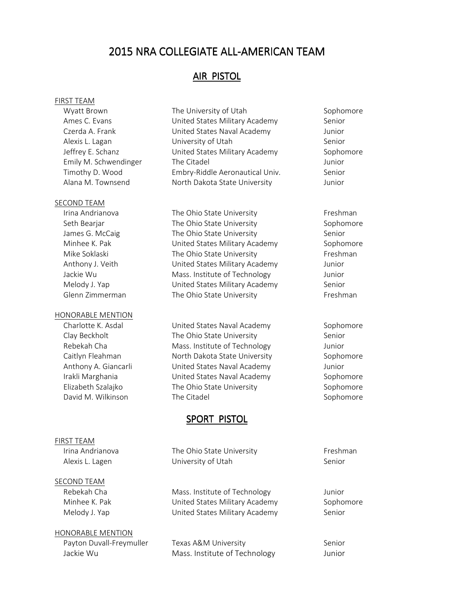## AIR PISTOL

#### FIRST TEAM

#### SECOND TEAM

#### HONORABLE MENTION

# FIRST TEAM

### SECOND TEAM

HONORABLE MENTION

Wyatt Brown The University of Utah Sophomore Sophomore Ames C. Evans **Example 20 Example 21 United States Military Academy** Senior Czerda A. Frank United States Naval Academy Junior Alexis L. Lagan **Senior** University of Utah Senior Senior Jeffrey E. Schanz United States Military Academy Sophomore Emily M. Schwendinger The Citadel The Citadel Schwendinger The Citadel Timothy D. Wood Embry-Riddle Aeronautical Univ. Senior Alana M. Townsend **North Dakota State University** Junior

Irina Andrianova **The Ohio State University** Freshman Seth Bearjar **The Ohio State University** Sophomore James G. McCaig The Ohio State University Senior Minhee K. Pak Charles Controller United States Military Academy Charles Association Sophomore Mike Soklaski **The Ohio State University** Freshman Anthony J. Veith **United States Military Academy** Junior Jackie Wu **Mass.** Institute of Technology Junior Melody J. Yap **Nelody J. Yapube States Military Academy** Senior Glenn Zimmerman The Ohio State University Freshman

Charlotte K. Asdal **States Naval Academy** Sophomore Sophomore Clay Beckholt **The Ohio State University** Senior Rebekah Cha Mass. Institute of Technology Junior Caitlyn Fleahman **North Dakota State University** Sophomore Anthony A. Giancarli United States Naval Academy Junior Irakli Marghania **Inited States Naval Academy** Sophomore Elizabeth Szalajko **The Ohio State University** Sophomore David M. Wilkinson The Citadel Sophomore Sophomore

## SPORT PISTOL

Irina Andrianova **The Ohio State University** Freshman Alexis L. Lagen **Example 20** University of Utah Senior

Rebekah Cha Mass. Institute of Technology Junior Minhee K. Pak Charles Control Charles Military Academy Sophomore Melody J. Yap **Netwitted States Military Academy** Senior

Payton Duvall-Freymuller Texas A&M University The Senior Jackie Wu Mass. Institute of Technology Junior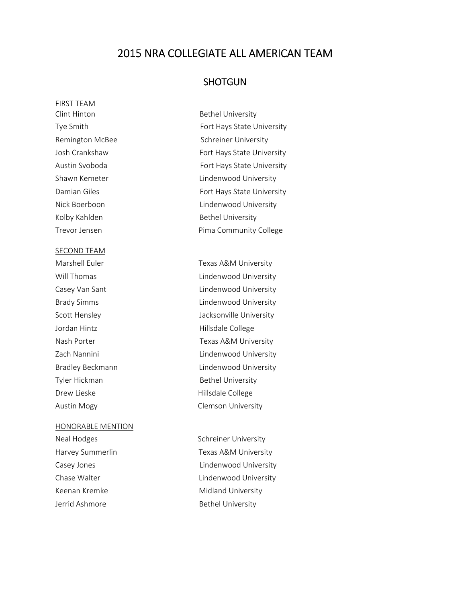## **SHOTGUN**

FIRST TEAM Clint Hinton **Bethel University** Kolby Kahlden Bethel University

#### SECOND TEAM

Jordan Hintz **Hillsdale College** Tyler Hickman and Bethel University Drew Lieske **Hillsdale College** 

#### HONORABLE MENTION

Keenan Kremke Midland University Jerrid Ashmore **Bethel University** 

Tye Smith Fort Hays State University Remington McBee Schreiner University Josh Crankshaw Fort Hays State University Austin Svoboda **Fort Hays State University** Shawn Kemeter **Lindenwood University** Damian Giles **Fort Hays State University** Nick Boerboon **Lindenwood University** Trevor Jensen **Pima Community College** 

Marshell Euler Texas A&M University Will Thomas **Lindenwood University** Casey Van Sant **Lindenwood University** Brady Simms **Example 20** Eindenwood University Scott Hensley **Jacksonville University** Nash Porter Texas A&M University Zach Nannini **Lindenwood University** Bradley Beckmann **Example 2** Lindenwood University Austin Mogy **Clemson University** 

Neal Hodges Schreiner University Harvey Summerlin Texas A&M University Casey Jones **Lindenwood University** Chase Walter **Lindenwood University**